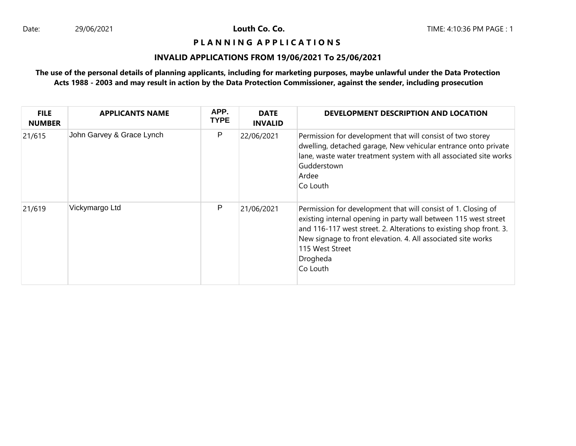Date: 29/06/2021 29/06/2021 **Louth Co. Co.** 2011 29/06/2021 29/06/2021

Louth Co. Co.

## **P L A N N I N G A P P L I C A T I O N S**

# **INVALID APPLICATIONS FROM 19/06/2021 To 25/06/2021**

# **The use of the personal details of planning applicants, including for marketing purposes, maybe unlawful under the Data Protection Acts 1988 - 2003 and may result in action by the Data Protection Commissioner, against the sender, including prosecution**

| <b>FILE</b><br><b>NUMBER</b> | <b>APPLICANTS NAME</b>    | APP.<br><b>TYPE</b> | <b>DATE</b><br><b>INVALID</b> | DEVELOPMENT DESCRIPTION AND LOCATION                                                                                                                                                                                                                                                                              |
|------------------------------|---------------------------|---------------------|-------------------------------|-------------------------------------------------------------------------------------------------------------------------------------------------------------------------------------------------------------------------------------------------------------------------------------------------------------------|
| 21/615                       | John Garvey & Grace Lynch | P                   | 22/06/2021                    | Permission for development that will consist of two storey<br>dwelling, detached garage, New vehicular entrance onto private<br>lane, waste water treatment system with all associated site works<br>Gudderstown<br>Ardee<br>Co Louth                                                                             |
| 21/619                       | Vickymargo Ltd            | P                   | 21/06/2021                    | Permission for development that will consist of 1. Closing of<br>existing internal opening in party wall between 115 west street<br>and 116-117 west street. 2. Alterations to existing shop front. 3.<br>New signage to front elevation. 4. All associated site works<br>115 West Street<br>Drogheda<br>Co Louth |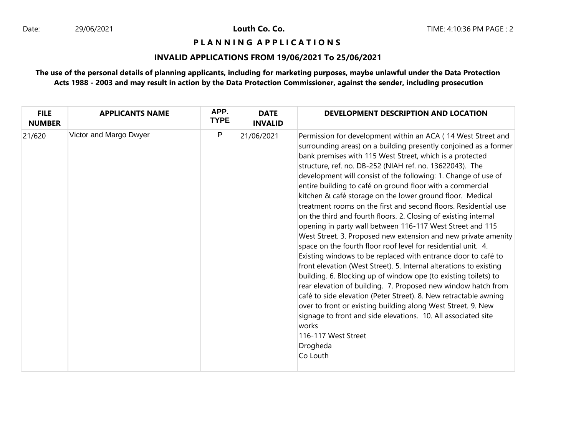Louth Co. Co.

### **P L A N N I N G A P P L I C A T I O N S**

# **INVALID APPLICATIONS FROM 19/06/2021 To 25/06/2021**

**The use of the personal details of planning applicants, including for marketing purposes, maybe unlawful under the Data Protection Acts 1988 - 2003 and may result in action by the Data Protection Commissioner, against the sender, including prosecution**

| <b>FILE</b><br><b>NUMBER</b> | <b>APPLICANTS NAME</b> | APP.<br><b>TYPE</b> | <b>DATE</b><br><b>INVALID</b> | DEVELOPMENT DESCRIPTION AND LOCATION                                                                                                                                                                                                                                                                                                                                                                                                                                                                                                                                                                                                                                                                                                                                                                                                                                                                                                                                                                                                                                                                                                                                                                                                                                                                                               |
|------------------------------|------------------------|---------------------|-------------------------------|------------------------------------------------------------------------------------------------------------------------------------------------------------------------------------------------------------------------------------------------------------------------------------------------------------------------------------------------------------------------------------------------------------------------------------------------------------------------------------------------------------------------------------------------------------------------------------------------------------------------------------------------------------------------------------------------------------------------------------------------------------------------------------------------------------------------------------------------------------------------------------------------------------------------------------------------------------------------------------------------------------------------------------------------------------------------------------------------------------------------------------------------------------------------------------------------------------------------------------------------------------------------------------------------------------------------------------|
| 21/620                       | Victor and Margo Dwyer | P                   | 21/06/2021                    | Permission for development within an ACA (14 West Street and<br>surrounding areas) on a building presently conjoined as a former<br>bank premises with 115 West Street, which is a protected<br>structure, ref. no. DB-252 (NIAH ref. no. 13622043). The<br>development will consist of the following: 1. Change of use of<br>entire building to café on ground floor with a commercial<br>kitchen & café storage on the lower ground floor. Medical<br>treatment rooms on the first and second floors. Residential use<br>on the third and fourth floors. 2. Closing of existing internal<br>opening in party wall between 116-117 West Street and 115<br>West Street. 3. Proposed new extension and new private amenity<br>space on the fourth floor roof level for residential unit. 4.<br>Existing windows to be replaced with entrance door to café to<br>front elevation (West Street). 5. Internal alterations to existing<br>building. 6. Blocking up of window ope (to existing toilets) to<br>rear elevation of building. 7. Proposed new window hatch from<br>café to side elevation (Peter Street). 8. New retractable awning<br>over to front or existing building along West Street. 9. New<br>signage to front and side elevations. 10. All associated site<br>works<br>116-117 West Street<br>Drogheda<br>Co Louth |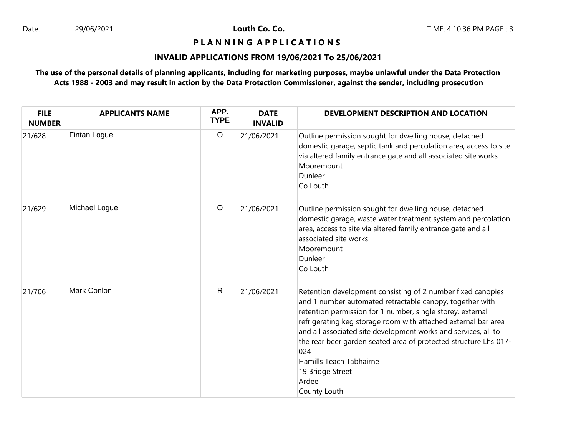Date: 29/06/2021 29/06/2021 **Louth Co. Co.** 2011 29/06/2021

Louth Co. Co.

## **P L A N N I N G A P P L I C A T I O N S**

## **INVALID APPLICATIONS FROM 19/06/2021 To 25/06/2021**

# **The use of the personal details of planning applicants, including for marketing purposes, maybe unlawful under the Data Protection Acts 1988 - 2003 and may result in action by the Data Protection Commissioner, against the sender, including prosecution**

| <b>FILE</b><br><b>NUMBER</b> | <b>APPLICANTS NAME</b> | APP.<br><b>TYPE</b> | <b>DATE</b><br><b>INVALID</b> | DEVELOPMENT DESCRIPTION AND LOCATION                                                                                                                                                                                                                                                                                                                                                                                                                                         |
|------------------------------|------------------------|---------------------|-------------------------------|------------------------------------------------------------------------------------------------------------------------------------------------------------------------------------------------------------------------------------------------------------------------------------------------------------------------------------------------------------------------------------------------------------------------------------------------------------------------------|
| 21/628                       | Fintan Logue           | $\circ$             | 21/06/2021                    | Outline permission sought for dwelling house, detached<br>domestic garage, septic tank and percolation area, access to site<br>via altered family entrance gate and all associated site works<br>Mooremount<br>Dunleer<br>Co Louth                                                                                                                                                                                                                                           |
| 21/629                       | Michael Logue          | $\circ$             | 21/06/2021                    | Outline permission sought for dwelling house, detached<br>domestic garage, waste water treatment system and percolation<br>area, access to site via altered family entrance gate and all<br>associated site works<br>Mooremount<br>Dunleer<br>Co Louth                                                                                                                                                                                                                       |
| 21/706                       | Mark Conlon            | R                   | 21/06/2021                    | Retention development consisting of 2 number fixed canopies<br>and 1 number automated retractable canopy, together with<br>retention permission for 1 number, single storey, external<br>refrigerating keg storage room with attached external bar area<br>and all associated site development works and services, all to<br>the rear beer garden seated area of protected structure Lhs 017-<br>024<br>Hamills Teach Tabhairne<br>19 Bridge Street<br>Ardee<br>County Louth |